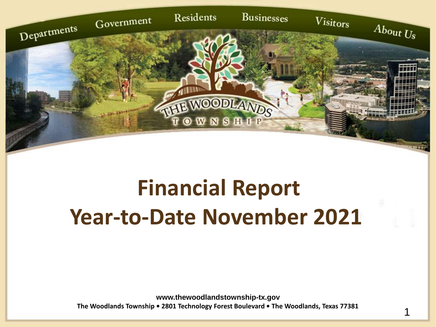

## **Financial Report Year-to-Date November 2021**

**www.thewoodlandstownship-tx.gov The Woodlands Township • 2801 Technology Forest Boulevard • The Woodlands, Texas 77381**

1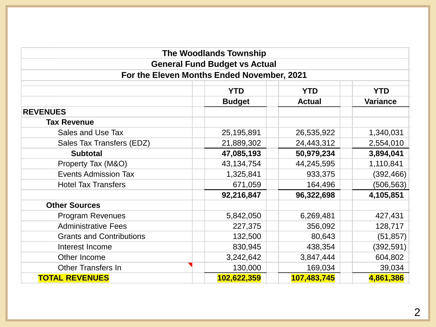|                                                                  | <b>The Woodlands Township</b>        |               |                 |  |  |  |  |  |  |  |
|------------------------------------------------------------------|--------------------------------------|---------------|-----------------|--|--|--|--|--|--|--|
|                                                                  | <b>General Fund Budget vs Actual</b> |               |                 |  |  |  |  |  |  |  |
| For the Eleven Months Ended November, 2021                       |                                      |               |                 |  |  |  |  |  |  |  |
| <b>YTD</b><br><b>YTD</b><br><b>YTD</b>                           |                                      |               |                 |  |  |  |  |  |  |  |
|                                                                  | <b>Budget</b>                        | <b>Actual</b> | <b>Variance</b> |  |  |  |  |  |  |  |
| <b>REVENUES</b>                                                  |                                      |               |                 |  |  |  |  |  |  |  |
| <b>Tax Revenue</b>                                               |                                      |               |                 |  |  |  |  |  |  |  |
| Sales and Use Tax                                                | 25,195,891                           | 26,535,922    | 1,340,031       |  |  |  |  |  |  |  |
| Sales Tax Transfers (EDZ)                                        | 21,889,302                           | 2,554,010     |                 |  |  |  |  |  |  |  |
| <b>Subtotal</b>                                                  | 47,085,193                           | 50,979,234    | 3,894,041       |  |  |  |  |  |  |  |
| Property Tax (M&O)                                               | 43,134,754                           | 44,245,595    | 1,110,841       |  |  |  |  |  |  |  |
| <b>Events Admission Tax</b>                                      | 1,325,841                            | 933,375       | (392, 466)      |  |  |  |  |  |  |  |
| <b>Hotel Tax Transfers</b>                                       | 671,059                              | 164,496       | (506, 563)      |  |  |  |  |  |  |  |
|                                                                  | 92,216,847                           | 96,322,698    | 4,105,851       |  |  |  |  |  |  |  |
| <b>Other Sources</b>                                             |                                      |               |                 |  |  |  |  |  |  |  |
| <b>Program Revenues</b>                                          | 5,842,050                            | 6,269,481     | 427,431         |  |  |  |  |  |  |  |
| <b>Administrative Fees</b>                                       | 227,375                              | 356,092       | 128,717         |  |  |  |  |  |  |  |
| <b>Grants and Contributions</b>                                  | 132,500                              | 80,643        | (51, 857)       |  |  |  |  |  |  |  |
| Interest Income                                                  | 830,945                              | 438,354       | (392, 591)      |  |  |  |  |  |  |  |
| Other Income                                                     | 3,242,642                            | 3,847,444     | 604,802         |  |  |  |  |  |  |  |
| <b>Other Transfers In</b>                                        | 130,000                              | 169,034       | 39,034          |  |  |  |  |  |  |  |
| <b>TOTAL REVENUES</b><br>4,861,386<br>102,622,359<br>107,483,745 |                                      |               |                 |  |  |  |  |  |  |  |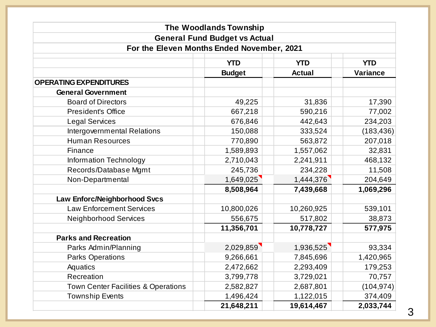|                                                | <b>The Woodlands Township</b>        |               |                 |  |  |  |  |  |  |  |
|------------------------------------------------|--------------------------------------|---------------|-----------------|--|--|--|--|--|--|--|
|                                                | <b>General Fund Budget vs Actual</b> |               |                 |  |  |  |  |  |  |  |
| For the Eleven Months Ended November, 2021     |                                      |               |                 |  |  |  |  |  |  |  |
| <b>YTD</b><br><b>YTD</b><br><b>YTD</b>         |                                      |               |                 |  |  |  |  |  |  |  |
|                                                | <b>Budget</b>                        | <b>Actual</b> | <b>Variance</b> |  |  |  |  |  |  |  |
| <b>OPERATING EXPENDITURES</b>                  |                                      |               |                 |  |  |  |  |  |  |  |
| <b>General Government</b>                      |                                      |               |                 |  |  |  |  |  |  |  |
| <b>Board of Directors</b>                      | 49,225                               | 31,836        | 17,390          |  |  |  |  |  |  |  |
| <b>President's Office</b>                      | 667,218                              | 590,216       | 77,002          |  |  |  |  |  |  |  |
| <b>Legal Services</b>                          | 676,846                              | 442,643       | 234,203         |  |  |  |  |  |  |  |
| Intergovernmental Relations                    | 150,088                              | 333,524       | (183, 436)      |  |  |  |  |  |  |  |
| <b>Human Resources</b>                         | 770,890                              | 563,872       | 207,018         |  |  |  |  |  |  |  |
| Finance                                        | 1,589,893                            | 1,557,062     | 32,831          |  |  |  |  |  |  |  |
| Information Technology                         | 2,710,043                            | 2,241,911     | 468,132         |  |  |  |  |  |  |  |
| Records/Database Mgmt                          | 245,736                              | 234,228       | 11,508          |  |  |  |  |  |  |  |
| Non-Departmental                               | 1,649,025                            | 1,444,376     | 204,649         |  |  |  |  |  |  |  |
|                                                | 8,508,964                            | 7,439,668     | 1,069,296       |  |  |  |  |  |  |  |
| Law Enforc/Neighborhood Svcs                   |                                      |               |                 |  |  |  |  |  |  |  |
| <b>Law Enforcement Services</b>                | 10,800,026                           | 10,260,925    | 539,101         |  |  |  |  |  |  |  |
| <b>Neighborhood Services</b>                   | 556,675                              | 517,802       | 38,873          |  |  |  |  |  |  |  |
|                                                | 11,356,701                           | 10,778,727    | 577,975         |  |  |  |  |  |  |  |
| <b>Parks and Recreation</b>                    |                                      |               |                 |  |  |  |  |  |  |  |
| Parks Admin/Planning                           | 2,029,859                            | 1,936,525     | 93,334          |  |  |  |  |  |  |  |
| <b>Parks Operations</b>                        | 9,266,661                            | 7,845,696     | 1,420,965       |  |  |  |  |  |  |  |
| Aquatics                                       | 2,472,662                            | 2,293,409     | 179,253         |  |  |  |  |  |  |  |
| Recreation                                     | 3,799,778                            | 3,729,021     | 70,757          |  |  |  |  |  |  |  |
| <b>Town Center Facilities &amp; Operations</b> | 2,582,827                            | 2,687,801     | (104, 974)      |  |  |  |  |  |  |  |
| <b>Township Events</b>                         | 1,496,424                            | 1,122,015     | 374,409         |  |  |  |  |  |  |  |
|                                                | 21,648,211                           | 19,614,467    | 2,033,744       |  |  |  |  |  |  |  |

3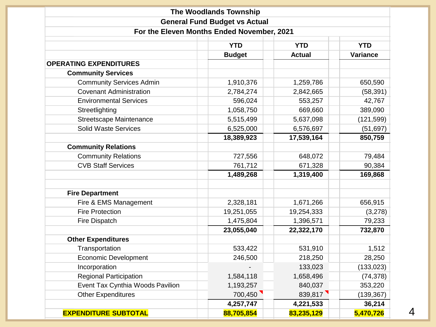|                                        | <b>The Woodlands Township</b>              |               |                 |  |  |  |  |  |  |  |
|----------------------------------------|--------------------------------------------|---------------|-----------------|--|--|--|--|--|--|--|
|                                        | <b>General Fund Budget vs Actual</b>       |               |                 |  |  |  |  |  |  |  |
|                                        | For the Eleven Months Ended November, 2021 |               |                 |  |  |  |  |  |  |  |
| <b>YTD</b><br><b>YTD</b><br><b>YTD</b> |                                            |               |                 |  |  |  |  |  |  |  |
|                                        | <b>Budget</b>                              | <b>Actual</b> | <b>Variance</b> |  |  |  |  |  |  |  |
| <b>OPERATING EXPENDITURES</b>          |                                            |               |                 |  |  |  |  |  |  |  |
| <b>Community Services</b>              |                                            |               |                 |  |  |  |  |  |  |  |
| <b>Community Services Admin</b>        | 1,910,376                                  | 1,259,786     | 650,590         |  |  |  |  |  |  |  |
| <b>Covenant Administration</b>         | 2,784,274                                  | (58, 391)     |                 |  |  |  |  |  |  |  |
| <b>Environmental Services</b>          | 596,024                                    | 553,257       | 42,767          |  |  |  |  |  |  |  |
| Streetlighting                         | 1,058,750                                  | 669,660       | 389,090         |  |  |  |  |  |  |  |
| Streetscape Maintenance                | 5,515,499                                  | 5,637,098     | (121, 599)      |  |  |  |  |  |  |  |
| <b>Solid Waste Services</b>            | 6,525,000                                  | 6,576,697     | (51, 697)       |  |  |  |  |  |  |  |
|                                        | 18,389,923                                 | 17,539,164    | 850,759         |  |  |  |  |  |  |  |
| <b>Community Relations</b>             |                                            |               |                 |  |  |  |  |  |  |  |
| <b>Community Relations</b>             | 727,556                                    | 648,072       | 79,484          |  |  |  |  |  |  |  |
| <b>CVB Staff Services</b>              | 761,712                                    | 671,328       | 90,384          |  |  |  |  |  |  |  |
|                                        | 1,489,268                                  | 1,319,400     | 169,868         |  |  |  |  |  |  |  |
| <b>Fire Department</b>                 |                                            |               |                 |  |  |  |  |  |  |  |
| Fire & EMS Management                  | 2,328,181                                  | 1,671,266     | 656,915         |  |  |  |  |  |  |  |
| <b>Fire Protection</b>                 | 19,251,055                                 | 19,254,333    | (3,278)         |  |  |  |  |  |  |  |
| Fire Dispatch                          | 1,475,804                                  | 1,396,571     | 79,233          |  |  |  |  |  |  |  |
|                                        | 23,055,040                                 | 22,322,170    | 732,870         |  |  |  |  |  |  |  |
| <b>Other Expenditures</b>              |                                            |               |                 |  |  |  |  |  |  |  |
| Transportation                         | 533,422                                    | 531,910       | 1,512           |  |  |  |  |  |  |  |
| <b>Economic Development</b>            | 246,500                                    | 218,250       | 28,250          |  |  |  |  |  |  |  |
| Incorporation                          |                                            | 133,023       | (133, 023)      |  |  |  |  |  |  |  |
| <b>Regional Participation</b>          | 1,584,118                                  | 1,658,496     | (74, 378)       |  |  |  |  |  |  |  |
| Event Tax Cynthia Woods Pavilion       | 1,193,257                                  | 840,037       | 353,220         |  |  |  |  |  |  |  |
| <b>Other Expenditures</b>              | 700,450                                    | 839,817       | (139, 367)      |  |  |  |  |  |  |  |
|                                        | 4,257,747                                  | 4,221,533     | 36,214          |  |  |  |  |  |  |  |
| <b>EXPENDITURE SUBTOTAL</b>            | 88,705,854                                 | 83,235,129    | 5,470,726       |  |  |  |  |  |  |  |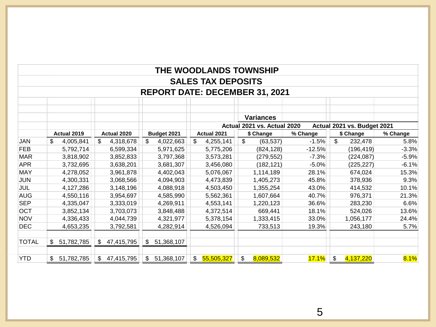|                                       |                  |                  |                              | THE WOODLANDS TOWNSHIP    |                             |          |                             |          |  |  |
|---------------------------------------|------------------|------------------|------------------------------|---------------------------|-----------------------------|----------|-----------------------------|----------|--|--|
|                                       |                  |                  |                              | <b>SALES TAX DEPOSITS</b> |                             |          |                             |          |  |  |
| <b>REPORT DATE: DECEMBER 31, 2021</b> |                  |                  |                              |                           |                             |          |                             |          |  |  |
|                                       |                  |                  |                              |                           |                             |          |                             |          |  |  |
|                                       |                  |                  |                              |                           | <b>Variances</b>            |          |                             |          |  |  |
|                                       |                  |                  |                              |                           | Actual 2021 vs. Actual 2020 |          | Actual 2021 vs. Budget 2021 |          |  |  |
|                                       | Actual 2019      | Actual 2020      | Budget 2021                  | Actual 2021               | \$ Change                   | % Change | \$ Change                   | % Change |  |  |
| JAN                                   | \$<br>4,005,841  | \$<br>4,318,678  | \$<br>4,022,663              | \$<br>4,255,141           | \$<br>(63, 537)             | $-1.5%$  | $\mathfrak{S}$<br>232,478   | 5.8%     |  |  |
| <b>FEB</b>                            | 5,792,714        | 6,599,334        | 5,971,625                    | 5,775,206                 | (824, 128)                  | $-12.5%$ | (196, 419)                  | $-3.3%$  |  |  |
| <b>MAR</b>                            | 3,818,902        | 3,852,833        | 3,797,368                    | 3,573,281                 | (279, 552)                  | $-7.3%$  | (224, 087)                  | $-5.9%$  |  |  |
| <b>APR</b>                            | 3,732,695        | 3,638,201        | 3,681,307                    | 3,456,080                 | (182, 121)                  | $-5.0%$  | (225, 227)                  | $-6.1%$  |  |  |
| <b>MAY</b>                            | 4,278,052        | 3,961,878        | 4,402,043                    | 5,076,067                 | 1,114,189                   | 28.1%    | 674,024                     | 15.3%    |  |  |
| <b>JUN</b>                            | 4,300,331        | 3,068,566        | 4,094,903                    | 4,473,839                 | 1,405,273                   | 45.8%    | 378,936                     | 9.3%     |  |  |
| JUL                                   | 4,127,286        | 3,148,196        | 4,088,918                    | 4,503,450                 | 1,355,254                   | 43.0%    | 414,532                     | 10.1%    |  |  |
| <b>AUG</b>                            | 4,550,116        | 3,954,697        | 4,585,990                    | 5,562,361                 | 1,607,664                   | 40.7%    | 976,371                     | 21.3%    |  |  |
| <b>SEP</b>                            | 4,335,047        | 3,333,019        | 4,269,911                    | 4,553,141                 | 1,220,123                   | 36.6%    | 283,230                     | 6.6%     |  |  |
| <b>OCT</b>                            | 3,852,134        | 3,703,073        | 3,848,488                    | 4,372,514                 | 669,441                     | 18.1%    | 524,026                     | 13.6%    |  |  |
| <b>NOV</b>                            | 4,336,433        | 4,044,739        | 4,321,977                    | 5,378,154                 | 1,333,415                   | 33.0%    | 1,056,177                   | 24.4%    |  |  |
| <b>DEC</b>                            | 4,653,235        | 3,792,581        | 4,282,914                    | 4,526,094                 | 733,513                     | 19.3%    | 243,180                     | 5.7%     |  |  |
|                                       |                  |                  |                              |                           |                             |          |                             |          |  |  |
| <b>TOTAL</b>                          | 51,782,785<br>\$ | 47,415,795<br>\$ | 51,368,107<br>$\mathfrak{S}$ |                           |                             |          |                             |          |  |  |
|                                       |                  |                  |                              |                           |                             |          |                             |          |  |  |
| <b>YTD</b>                            | \$51,782,785     | \$47,415,795     | \$51,368,107                 | \$5,505,327               | \$<br>8,089,532             | 17.1%    | \$<br>4,137,220             | 8.1%     |  |  |

5